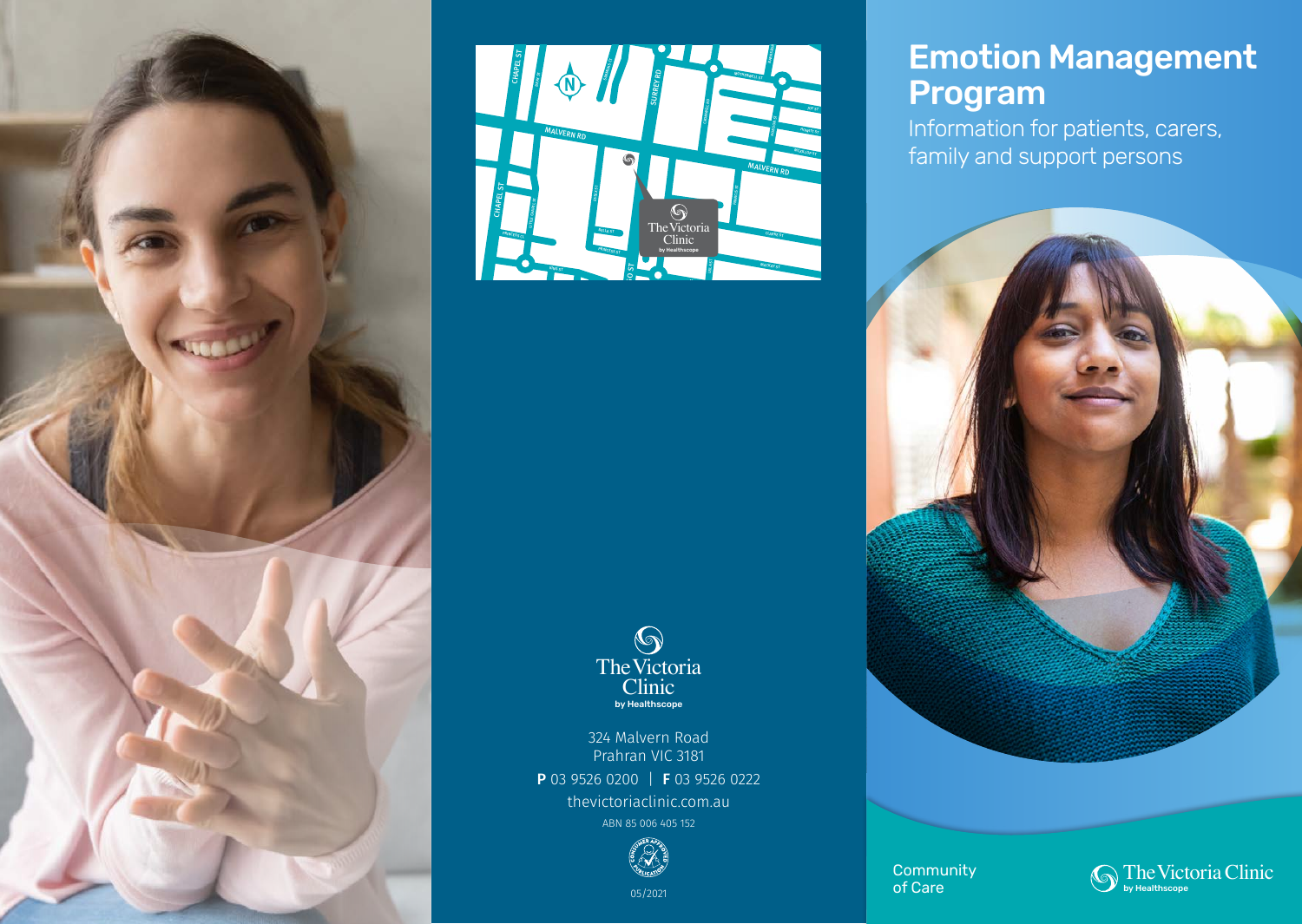





324 Malvern Road Prahran VIC 3181 P 03 9526 0200 | F 03 9526 0222 thevictoriaclinic.com.au ABN 85 006 405 152



# Emotion Management Program

Information for patients, carers, family and support persons



**Community** of Care